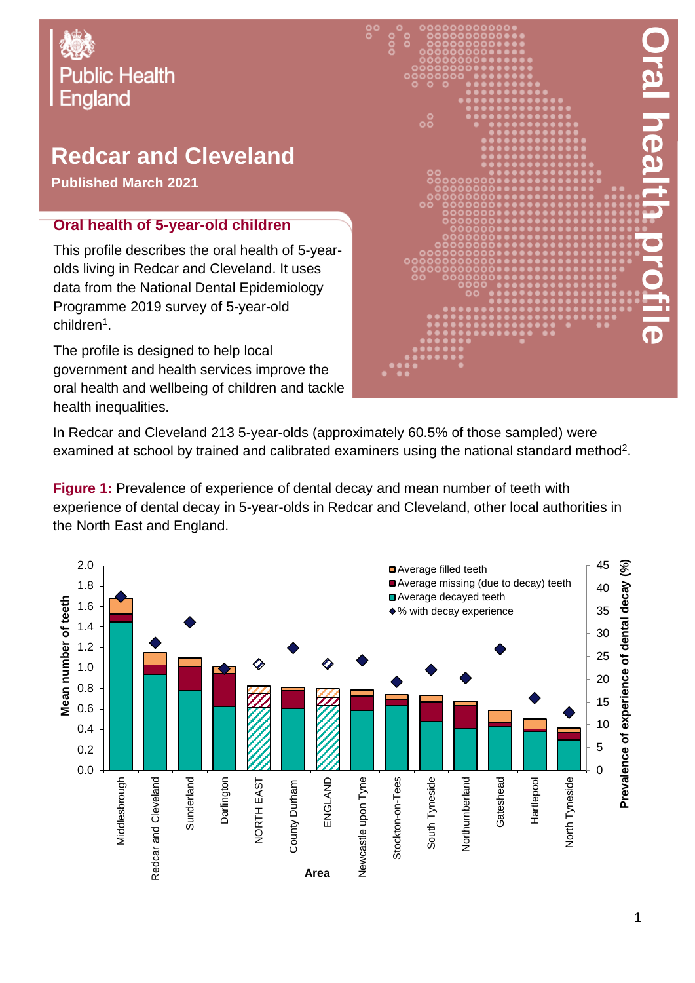# Oral Health Profile: Redcar and Cleveland local authority **Public Health England**

# **Redcar and Cleveland**

**Published March 2021**

#### **Oral health of 5-year-old children**

This profile describes the oral health of 5-yearolds living in Redcar and Cleveland. It uses data from the National Dental Epidemiology Programme 2019 survey of 5-year-old children<sup>1</sup>.

The profile is designed to help local government and health services improve the oral health and wellbeing of children and tackle health inequalities.



In Redcar and Cleveland 213 5-year-olds (approximately 60.5% of those sampled) were examined at school by trained and calibrated examiners using the national standard method<sup>2</sup>.

**Figure 1:** Prevalence of experience of dental decay and mean number of teeth with experience of dental decay in 5-year-olds in Redcar and Cleveland, other local authorities in the North East and England.

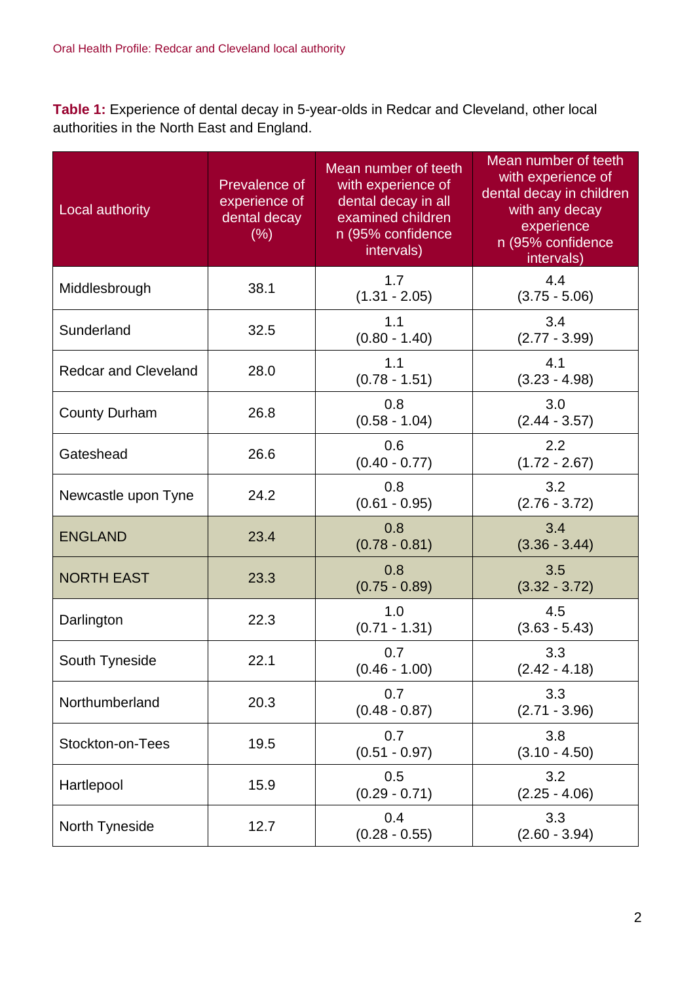**Table 1:** Experience of dental decay in 5-year-olds in Redcar and Cleveland, other local authorities in the North East and England.

| Local authority             | Prevalence of<br>experience of<br>dental decay<br>(% ) | Mean number of teeth<br>with experience of<br>dental decay in all<br>examined children<br>n (95% confidence<br>intervals) | Mean number of teeth<br>with experience of<br>dental decay in children<br>with any decay<br>experience<br>n (95% confidence<br>intervals) |
|-----------------------------|--------------------------------------------------------|---------------------------------------------------------------------------------------------------------------------------|-------------------------------------------------------------------------------------------------------------------------------------------|
| Middlesbrough               | 38.1                                                   | 1.7<br>$(1.31 - 2.05)$                                                                                                    | 4.4<br>$(3.75 - 5.06)$                                                                                                                    |
| Sunderland                  | 32.5                                                   | 1.1<br>$(0.80 - 1.40)$                                                                                                    | 3.4<br>$(2.77 - 3.99)$                                                                                                                    |
| <b>Redcar and Cleveland</b> | 28.0                                                   | 1.1<br>$(0.78 - 1.51)$                                                                                                    | 4.1<br>$(3.23 - 4.98)$                                                                                                                    |
| <b>County Durham</b>        | 26.8                                                   | 0.8<br>$(0.58 - 1.04)$                                                                                                    | 3.0<br>$(2.44 - 3.57)$                                                                                                                    |
| Gateshead                   | 26.6                                                   | 0.6<br>$(0.40 - 0.77)$                                                                                                    | 2.2<br>$(1.72 - 2.67)$                                                                                                                    |
| Newcastle upon Tyne         | 24.2                                                   | 0.8<br>$(0.61 - 0.95)$                                                                                                    | 3.2<br>$(2.76 - 3.72)$                                                                                                                    |
| <b>ENGLAND</b>              | 23.4                                                   | 0.8<br>$(0.78 - 0.81)$                                                                                                    | 3.4<br>$(3.36 - 3.44)$                                                                                                                    |
| <b>NORTH EAST</b>           | 23.3                                                   | 0.8<br>$(0.75 - 0.89)$                                                                                                    | 3.5<br>$(3.32 - 3.72)$                                                                                                                    |
| Darlington                  | 22.3                                                   | 1.0<br>$(0.71 - 1.31)$                                                                                                    | 4.5<br>$(3.63 - 5.43)$                                                                                                                    |
| South Tyneside              | 22.1                                                   | 0.7<br>$(0.46 - 1.00)$                                                                                                    | 3.3<br>$(2.42 - 4.18)$                                                                                                                    |
| Northumberland              | 20.3                                                   | 0.7<br>$(0.48 - 0.87)$                                                                                                    | 3.3<br>$(2.71 - 3.96)$                                                                                                                    |
| Stockton-on-Tees            | 19.5                                                   | 0.7<br>$(0.51 - 0.97)$                                                                                                    | 3.8<br>$(3.10 - 4.50)$                                                                                                                    |
| Hartlepool                  | 15.9                                                   | 0.5<br>$(0.29 - 0.71)$                                                                                                    | 3.2<br>$(2.25 - 4.06)$                                                                                                                    |
| North Tyneside              | 12.7                                                   | 0.4<br>$(0.28 - 0.55)$                                                                                                    | 3.3<br>$(2.60 - 3.94)$                                                                                                                    |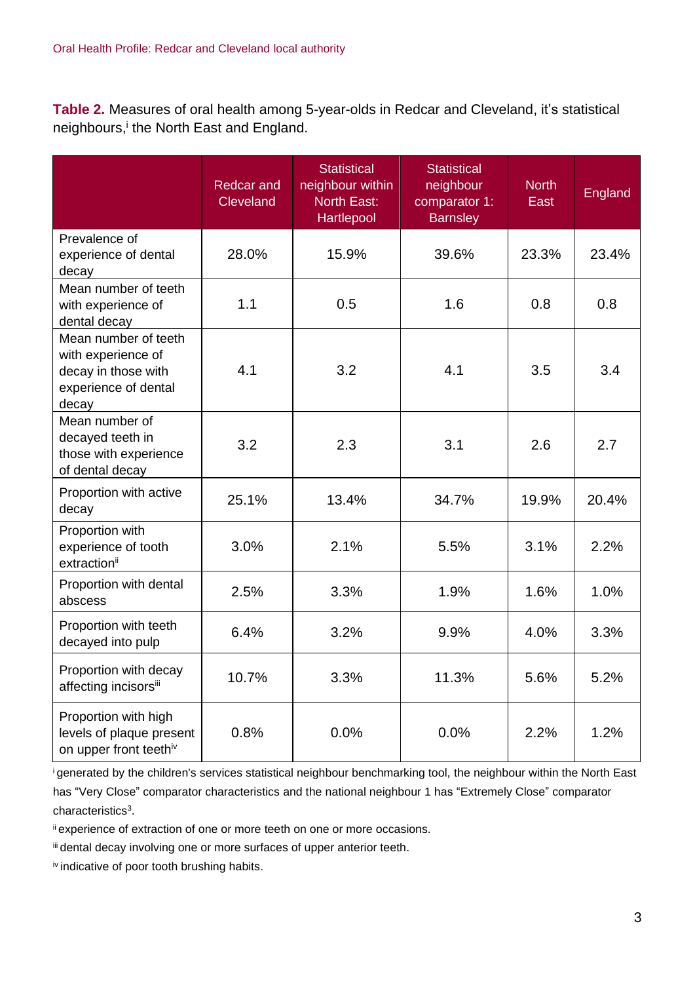**Table 2.** Measures of oral health among 5-year-olds in Redcar and Cleveland, it's statistical neighbours,<sup>i</sup> the North East and England.

|                                                                                                    | <b>Redcar and</b><br><b>Cleveland</b> | <b>Statistical</b><br>neighbour within<br><b>North East:</b><br>Hartlepool | <b>Statistical</b><br>neighbour<br>comparator 1:<br><b>Barnsley</b> | <b>North</b><br>East | England |
|----------------------------------------------------------------------------------------------------|---------------------------------------|----------------------------------------------------------------------------|---------------------------------------------------------------------|----------------------|---------|
| Prevalence of<br>experience of dental<br>decay                                                     | 28.0%                                 | 15.9%                                                                      | 39.6%                                                               | 23.3%                | 23.4%   |
| Mean number of teeth<br>with experience of<br>dental decay                                         | 1.1                                   | 0.5                                                                        | 1.6                                                                 | 0.8                  | 0.8     |
| Mean number of teeth<br>with experience of<br>decay in those with<br>experience of dental<br>decay | 4.1                                   | 3.2                                                                        | 4.1                                                                 | 3.5                  | 3.4     |
| Mean number of<br>decayed teeth in<br>those with experience<br>of dental decay                     | 3.2                                   | 2.3                                                                        | 3.1                                                                 | 2.6                  | 2.7     |
| Proportion with active<br>decay                                                                    | 25.1%                                 | 13.4%                                                                      | 34.7%                                                               | 19.9%                | 20.4%   |
| Proportion with<br>experience of tooth<br>extraction <sup>ii</sup>                                 | 3.0%                                  | 2.1%                                                                       | 5.5%                                                                | 3.1%                 | 2.2%    |
| Proportion with dental<br>abscess                                                                  | 2.5%                                  | 3.3%                                                                       | 1.9%                                                                | 1.6%                 | 1.0%    |
| Proportion with teeth<br>decayed into pulp                                                         | 6.4%                                  | 3.2%                                                                       | 9.9%                                                                | 4.0%                 | 3.3%    |
| Proportion with decay<br>affecting incisorsii                                                      | 10.7%                                 | 3.3%                                                                       | 11.3%                                                               | 5.6%                 | 5.2%    |
| Proportion with high<br>levels of plaque present<br>on upper front teethiv                         | 0.8%                                  | 0.0%                                                                       | 0.0%                                                                | 2.2%                 | 1.2%    |

<sup>i</sup>generated by the children's services statistical neighbour benchmarking tool, the neighbour within the North East has "Very Close" comparator characteristics and the national neighbour 1 has "Extremely Close" comparator characteristics<sup>3</sup>.

ii experience of extraction of one or more teeth on one or more occasions.

iii dental decay involving one or more surfaces of upper anterior teeth.

iv indicative of poor tooth brushing habits.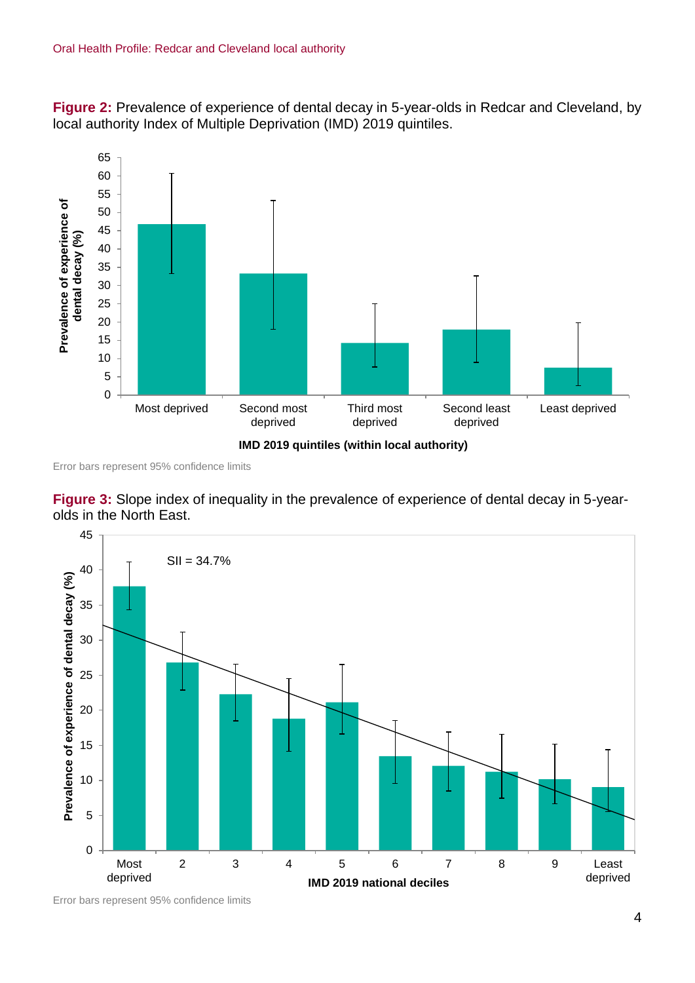**Figure 2:** Prevalence of experience of dental decay in 5-year-olds in Redcar and Cleveland, by local authority Index of Multiple Deprivation (IMD) 2019 quintiles.



Error bars represent 95% confidence limits





Error bars represent 95% confidence limits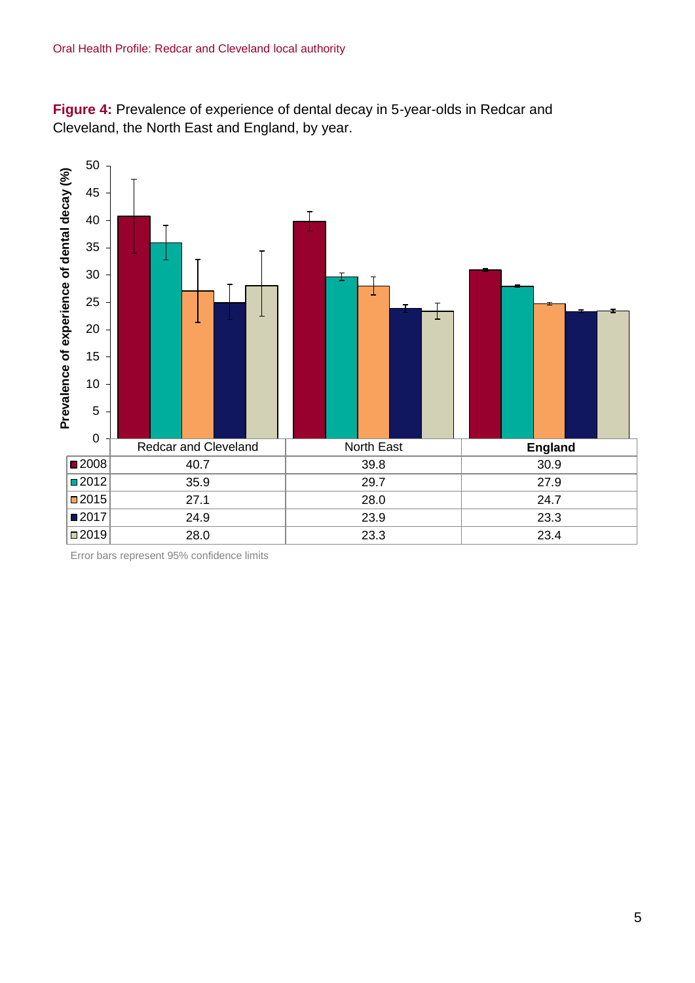**Figure 4:** Prevalence of experience of dental decay in 5-year-olds in Redcar and Cleveland, the North East and England, by year.



Error bars represent 95% confidence limits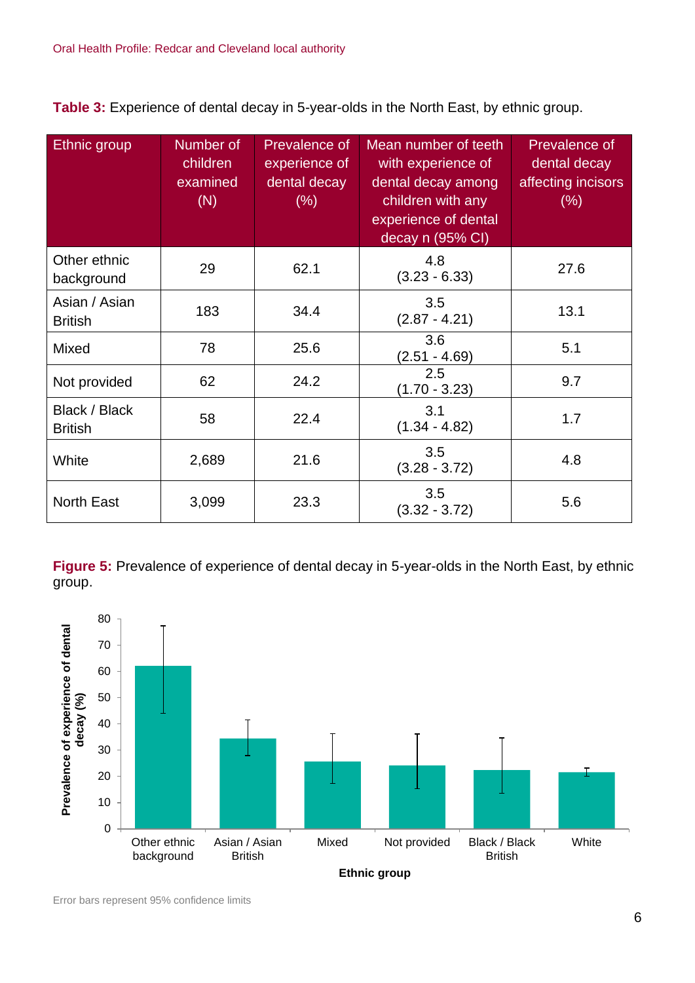**Table 3:** Experience of dental decay in 5-year-olds in the North East, by ethnic group.

| Ethnic group                    | Number of<br>children<br>examined<br>(N) | Prevalence of<br>experience of<br>dental decay<br>$(\% )$ | Mean number of teeth<br>with experience of<br>dental decay among<br>children with any<br>experience of dental<br>decay n (95% CI) | Prevalence of<br>dental decay<br>affecting incisors<br>$(\% )$ |
|---------------------------------|------------------------------------------|-----------------------------------------------------------|-----------------------------------------------------------------------------------------------------------------------------------|----------------------------------------------------------------|
| Other ethnic<br>background      | 29                                       | 62.1                                                      | 4.8<br>$(3.23 - 6.33)$                                                                                                            | 27.6                                                           |
| Asian / Asian<br><b>British</b> | 183                                      | 34.4                                                      | 3.5<br>$(2.87 - 4.21)$                                                                                                            | 13.1                                                           |
| Mixed                           | 78                                       | 25.6                                                      | 3.6<br>$(2.51 - 4.69)$                                                                                                            | 5.1                                                            |
| Not provided                    | 62                                       | 24.2                                                      | 2.5<br>$(1.70 - 3.23)$                                                                                                            | 9.7                                                            |
| Black / Black<br><b>British</b> | 58                                       | 22.4                                                      | 3.1<br>$(1.34 - 4.82)$                                                                                                            | 1.7                                                            |
| White                           | 2,689                                    | 21.6                                                      | 3.5<br>$(3.28 - 3.72)$                                                                                                            | 4.8                                                            |
| <b>North East</b>               | 3,099                                    | 23.3                                                      | 3.5<br>$(3.32 - 3.72)$                                                                                                            | 5.6                                                            |

**Figure 5:** Prevalence of experience of dental decay in 5-year-olds in the North East, by ethnic group.

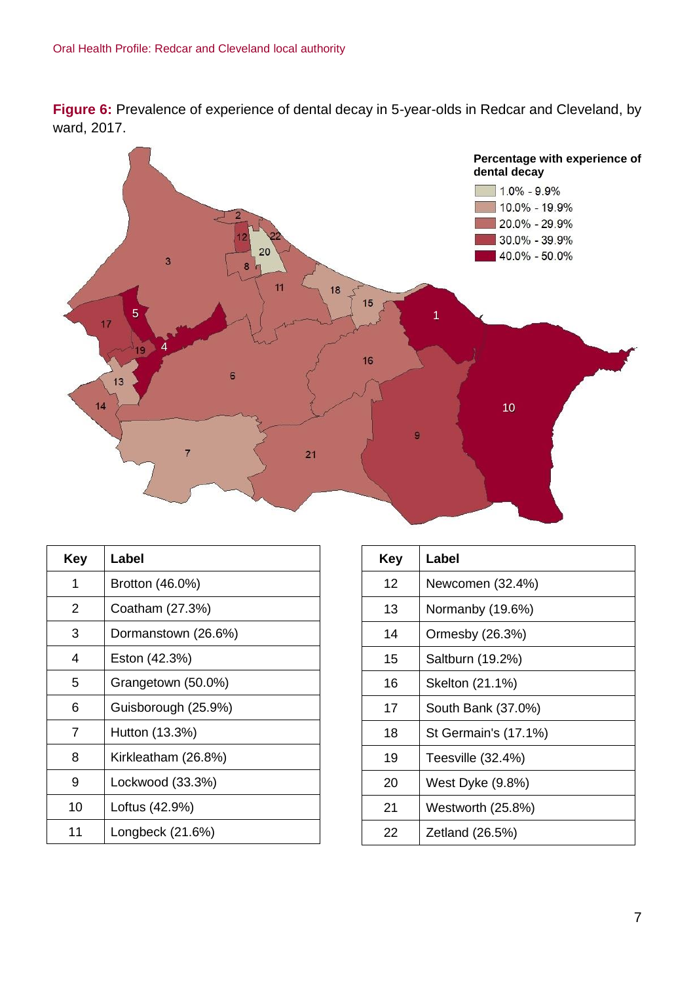**Figure 6:** Prevalence of experience of dental decay in 5-year-olds in Redcar and Cleveland, by ward, 2017.



| Key | Label               |
|-----|---------------------|
| 1   | Brotton (46.0%)     |
| 2   | Coatham (27.3%)     |
| 3   | Dormanstown (26.6%) |
| 4   | Eston (42.3%)       |
| 5   | Grangetown (50.0%)  |
| 6   | Guisborough (25.9%) |
| 7   | Hutton (13.3%)      |
| 8   | Kirkleatham (26.8%) |
| 9   | Lockwood (33.3%)    |
| 10  | Loftus (42.9%)      |
| 11  | Longbeck (21.6%)    |

| Key | Label                |
|-----|----------------------|
| 12  | Newcomen (32.4%)     |
| 13  | Normanby (19.6%)     |
| 14  | Ormesby (26.3%)      |
| 15  | Saltburn (19.2%)     |
| 16  | Skelton (21.1%)      |
| 17  | South Bank (37.0%)   |
| 18  | St Germain's (17.1%) |
| 19  | Teesville (32.4%)    |
| 20  | West Dyke (9.8%)     |
| 21  | Westworth (25.8%)    |
| 22  | Zetland (26.5%)      |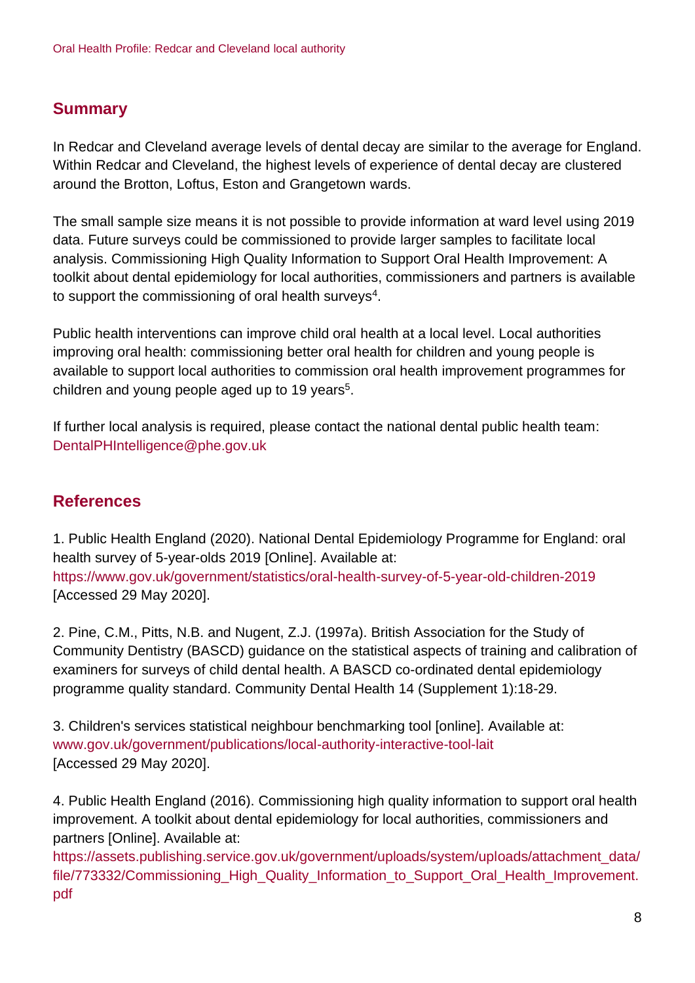### **Summary**

In Redcar and Cleveland average levels of dental decay are similar to the average for England. Within Redcar and Cleveland, the highest levels of experience of dental decay are clustered around the Brotton, Loftus, Eston and Grangetown wards.

The small sample size means it is not possible to provide information at ward level using 2019 data. Future surveys could be commissioned to provide larger samples to facilitate local analysis. Commissioning High Quality Information to Support Oral Health Improvement: A toolkit about dental epidemiology for local authorities, commissioners and partners is available to support the commissioning of oral health surveys $^4$ .

Public health interventions can improve child oral health at a local level. Local authorities improving oral health: commissioning better oral health for children and young people is available to support local authorities to commission oral health improvement programmes for children and young people aged up to 19 years<sup>5</sup>.

If further local analysis is required, please contact the national dental public health team: DentalPHIntelligence@phe.gov.uk

### **References**

1. Public Health England (2020). National Dental Epidemiology Programme for England: oral health survey of 5-year-olds 2019 [Online]. Available at: <https://www.gov.uk/government/statistics/oral-health-survey-of-5-year-old-children-2019> [Accessed 29 May 2020].

2. Pine, C.M., Pitts, N.B. and Nugent, Z.J. (1997a). British Association for the Study of Community Dentistry (BASCD) guidance on the statistical aspects of training and calibration of examiners for surveys of child dental health. A BASCD co-ordinated dental epidemiology programme quality standard. Community Dental Health 14 (Supplement 1):18-29.

3. Children's services statistical neighbour benchmarking tool [online]. Available at: [www.gov.uk/government/publications/local-authority-interactive-tool-lait](http://www.gov.uk/government/publications/local-authority-interactive-tool-lait) [Accessed 29 May 2020].

4. Public Health England (2016). Commissioning high quality information to support oral health improvement. A toolkit about dental epidemiology for local authorities, commissioners and partners [Online]. Available at:

[https://assets.publishing.service.gov.uk/government/uploads/system/uploads/attachment\\_data/](https://assets.publishing.service.gov.uk/government/uploads/system/uploads/attachment_data/file/773332/Commissioning_High_Quality_Information_to_Support_Oral_Health_Improvement.pdf) [file/773332/Commissioning\\_High\\_Quality\\_Information\\_to\\_Support\\_Oral\\_Health\\_Improvement.](https://assets.publishing.service.gov.uk/government/uploads/system/uploads/attachment_data/file/773332/Commissioning_High_Quality_Information_to_Support_Oral_Health_Improvement.pdf) [pdf](https://assets.publishing.service.gov.uk/government/uploads/system/uploads/attachment_data/file/773332/Commissioning_High_Quality_Information_to_Support_Oral_Health_Improvement.pdf)